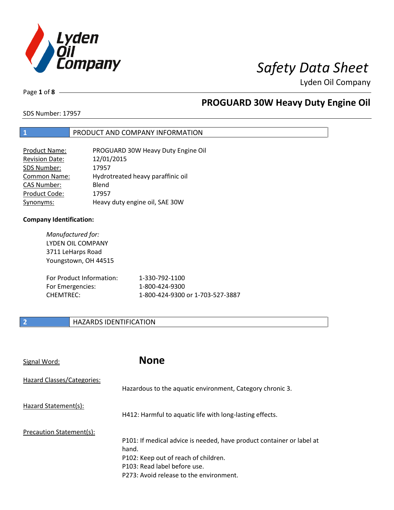

Page **1** of **8**

# **PROGUARD 30W Heavy Duty Engine Oil**

SDS Number: 17957

### **1** PRODUCT AND COMPANY INFORMATION

| <b>Product Name:</b>  | PROGUARD 30W Heavy Duty Engine Oil |
|-----------------------|------------------------------------|
| <b>Revision Date:</b> | 12/01/2015                         |
| SDS Number:           | 17957                              |
| Common Name:          | Hydrotreated heavy paraffinic oil  |
| <b>CAS Number:</b>    | Blend                              |
| Product Code:         | 17957                              |
| Synonyms:             | Heavy duty engine oil, SAE 30W     |

### **Company Identification:**

| Manufactured for:<br>LYDEN OIL COMPANY<br>3711 LeHarps Road<br>Youngstown, OH 44515 |                                  |
|-------------------------------------------------------------------------------------|----------------------------------|
| For Product Information:                                                            | 1-330-792-1100                   |
| For Emergencies:                                                                    | 1-800-424-9300                   |
| <b>CHEMTRFC:</b>                                                                    | 1-800-424-9300 or 1-703-527-3887 |

### **2 HAZARDS IDENTIFICATION**

| Signal Word:               | <b>None</b>                                                                                                                                                                                       |
|----------------------------|---------------------------------------------------------------------------------------------------------------------------------------------------------------------------------------------------|
| Hazard Classes/Categories: | Hazardous to the aquatic environment, Category chronic 3.                                                                                                                                         |
| Hazard Statement(s):       | H412: Harmful to aquatic life with long-lasting effects.                                                                                                                                          |
| Precaution Statement(s):   | P101: If medical advice is needed, have product container or label at<br>hand.<br>P102: Keep out of reach of children.<br>P103: Read label before use.<br>P273: Avoid release to the environment. |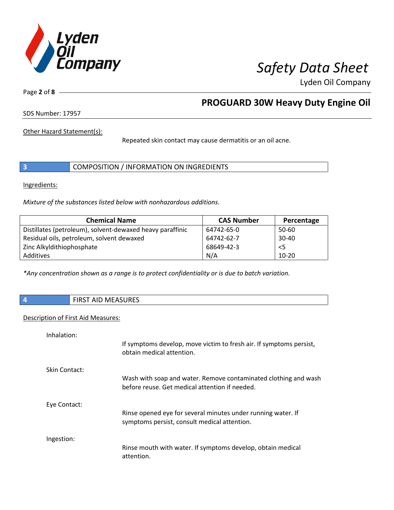

Page **2** of **8**

## **PROGUARD 30W Heavy Duty Engine Oil**

SDS Number: 17957

Other Hazard Statement(s):

Repeated skin contact may cause dermatitis or an oil acne.

|  | COMPOSITION / INFORMATION ON INGREDIENTS |
|--|------------------------------------------|
|--|------------------------------------------|

Ingredients:

*Mixture of the substances listed below with nonhazardous additions.*

| <b>Chemical Name</b>                                      | <b>CAS Number</b> | Percentage |
|-----------------------------------------------------------|-------------------|------------|
| Distillates (petroleum), solvent-dewaxed heavy paraffinic | 64742-65-0        | 50-60      |
| Residual oils, petroleum, solvent dewaxed                 | 64742-62-7        | $30 - 40$  |
| Zinc Alkyldithiophosphate                                 | 68649-42-3        | $<$ 5      |
| Additives                                                 | N/A               | $10 - 20$  |

*\*Any concentration shown as a range is to protect confidentiality or is due to batch variation.*

**4** FIRST AID MEASURES

### Description of First Aid Measures:

| Inhalation:   |                                                                                                                   |
|---------------|-------------------------------------------------------------------------------------------------------------------|
|               | If symptoms develop, move victim to fresh air. If symptoms persist,<br>obtain medical attention.                  |
| Skin Contact: |                                                                                                                   |
|               | Wash with soap and water. Remove contaminated clothing and wash<br>before reuse. Get medical attention if needed. |
| Eye Contact:  |                                                                                                                   |
|               | Rinse opened eye for several minutes under running water. If<br>symptoms persist, consult medical attention.      |
| Ingestion:    |                                                                                                                   |
|               | Rinse mouth with water. If symptoms develop, obtain medical<br>attention.                                         |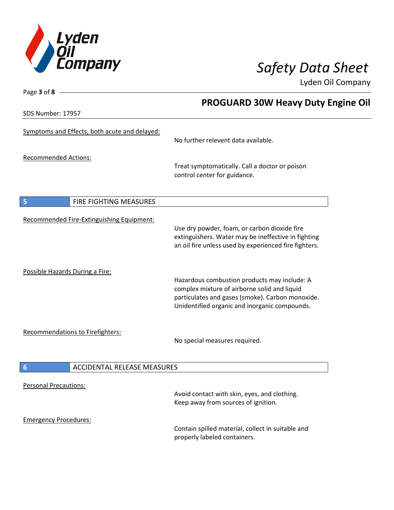

SDS Number: 17957

Page **3** of **8**

# **PROGUARD 30W Heavy Duty Engine Oil**

| Symptoms and Effects, both acute and delayed:         | No further relevent data available.                                                                                                                                                               |
|-------------------------------------------------------|---------------------------------------------------------------------------------------------------------------------------------------------------------------------------------------------------|
| <b>Recommended Actions:</b>                           | Treat symptomatically. Call a doctor or poison<br>control center for guidance.                                                                                                                    |
| FIRE FIGHTING MEASURES<br>5                           |                                                                                                                                                                                                   |
| Recommended Fire-Extinguishing Equipment:             | Use dry powder, foam, or carbon dioxide fire<br>extinguishers. Water may be ineffective in fighting<br>an oil fire unless used by experienced fire fighters.                                      |
| Possible Hazards During a Fire:                       | Hazardous combustion products may include: A<br>complex mixture of airborne solid and liquid<br>particulates and gases (smoke). Carbon monoxide.<br>Unidentified organic and inorganic compounds. |
| <b>Recommendations to Firefighters:</b>               | No special measures required.                                                                                                                                                                     |
| <b>ACCIDENTAL RELEASE MEASURES</b><br>$6\phantom{1}6$ |                                                                                                                                                                                                   |
| <b>Personal Precautions:</b>                          | Avoid contact with skin, eyes, and clothing.<br>Keep away from sources of ignition.                                                                                                               |
| <b>Emergency Procedures:</b>                          | Contain spilled material, collect in suitable and<br>properly labeled containers.                                                                                                                 |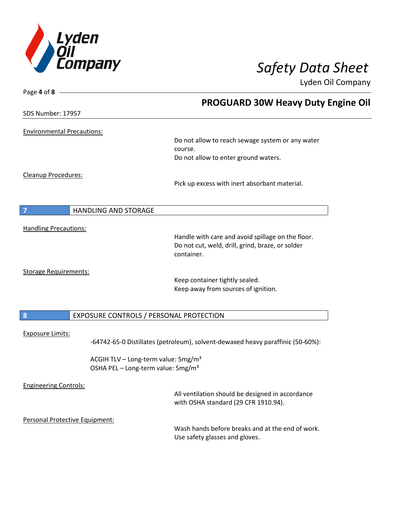

| Page 4 of 8 -                     |                                                                                 |
|-----------------------------------|---------------------------------------------------------------------------------|
|                                   | <b>PROGUARD 30W Heavy Duty Engine Oil</b>                                       |
| SDS Number: 17957                 |                                                                                 |
| <b>Environmental Precautions:</b> |                                                                                 |
|                                   | Do not allow to reach sewage system or any water                                |
|                                   | course.                                                                         |
|                                   | Do not allow to enter ground waters.                                            |
| <b>Cleanup Procedures:</b>        |                                                                                 |
|                                   | Pick up excess with inert absorbant material.                                   |
|                                   |                                                                                 |
| <b>HANDLING AND STORAGE</b><br>7  |                                                                                 |
| <b>Handling Precautions:</b>      |                                                                                 |
|                                   | Handle with care and avoid spillage on the floor.                               |
|                                   | Do not cut, weld, drill, grind, braze, or solder                                |
|                                   | container.                                                                      |
| <b>Storage Requirements:</b>      |                                                                                 |
|                                   | Keep container tightly sealed.                                                  |
|                                   | Keep away from sources of ignition.                                             |
|                                   |                                                                                 |
| $\boldsymbol{8}$                  | EXPOSURE CONTROLS / PERSONAL PROTECTION                                         |
| <b>Exposure Limits:</b>           |                                                                                 |
|                                   | -64742-65-0 Distillates (petroleum), solvent-dewaxed heavy paraffinic (50-60%): |
|                                   | ACGIH TLV - Long-term value: 5mg/m <sup>3</sup>                                 |
|                                   | OSHA PEL - Long-term value: 5mg/m <sup>3</sup>                                  |
| <b>Engineering Controls:</b>      |                                                                                 |
|                                   | All ventilation should be designed in accordance                                |
|                                   | with OSHA standard (29 CFR 1910.94).                                            |
| Personal Protective Equipment:    |                                                                                 |
|                                   | Wash hands before breaks and at the end of work.                                |
|                                   | Use safety glasses and gloves.                                                  |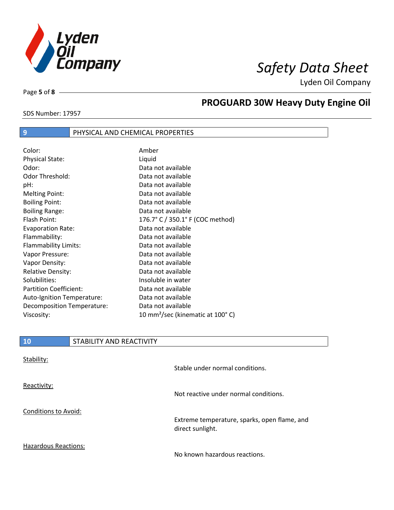

Page **5** of **8**

 $\overline{\phantom{a}}$ 

# **PROGUARD 30W Heavy Duty Engine Oil**

### SDS Number: 17957

## **9** PHYSICAL AND CHEMICAL PROPERTIES

| Color:                        | Amber                                        |
|-------------------------------|----------------------------------------------|
| <b>Physical State:</b>        | Liquid                                       |
| Odor:                         | Data not available                           |
| Odor Threshold:               | Data not available                           |
| pH:                           | Data not available                           |
| <b>Melting Point:</b>         | Data not available                           |
| <b>Boiling Point:</b>         | Data not available                           |
| <b>Boiling Range:</b>         | Data not available                           |
| Flash Point:                  | 176.7° C / 350.1° F (COC method)             |
| <b>Evaporation Rate:</b>      | Data not available                           |
| Flammability:                 | Data not available                           |
| Flammability Limits:          | Data not available                           |
| Vapor Pressure:               | Data not available                           |
| Vapor Density:                | Data not available                           |
| <b>Relative Density:</b>      | Data not available                           |
| Solubilities:                 | Insoluble in water                           |
| <b>Partition Coefficient:</b> | Data not available                           |
| Auto-Ignition Temperature:    | Data not available                           |
| Decomposition Temperature:    | Data not available                           |
| Viscosity:                    | 10 mm <sup>2</sup> /sec (kinematic at 100°C) |

| <b>10</b>                   | STABILITY AND REACTIVITY |                                                                  |
|-----------------------------|--------------------------|------------------------------------------------------------------|
| Stability:                  |                          |                                                                  |
|                             |                          | Stable under normal conditions.                                  |
| Reactivity:                 |                          |                                                                  |
|                             |                          | Not reactive under normal conditions.                            |
| <b>Conditions to Avoid:</b> |                          |                                                                  |
|                             |                          | Extreme temperature, sparks, open flame, and<br>direct sunlight. |
| <b>Hazardous Reactions:</b> |                          |                                                                  |

No known hazardous reactions.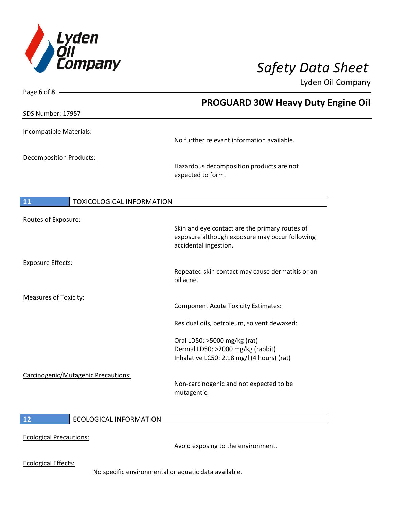

Page **6** of **8**

Lyden Oil Company

|                                        | <b>PROGUARD 30W Heavy Duty Engine Oil</b>                                                                                 |
|----------------------------------------|---------------------------------------------------------------------------------------------------------------------------|
| SDS Number: 17957                      |                                                                                                                           |
| <b>Incompatible Materials:</b>         | No further relevant information available.                                                                                |
| <b>Decomposition Products:</b>         | Hazardous decomposition products are not<br>expected to form.                                                             |
| 11<br><b>TOXICOLOGICAL INFORMATION</b> |                                                                                                                           |
| Routes of Exposure:                    | Skin and eye contact are the primary routes of<br>exposure although exposure may occur following<br>accidental ingestion. |
| <b>Exposure Effects:</b>               | Repeated skin contact may cause dermatitis or an<br>oil acne.                                                             |
| <b>Measures of Toxicity:</b>           | <b>Component Acute Toxicity Estimates:</b>                                                                                |
|                                        | Residual oils, petroleum, solvent dewaxed:                                                                                |
|                                        | Oral LD50: >5000 mg/kg (rat)<br>Dermal LD50: >2000 mg/kg (rabbit)<br>Inhalative LC50: 2.18 mg/l (4 hours) (rat)           |
| Carcinogenic/Mutagenic Precautions:    | Non-carcinogenic and not expected to be<br>mutagentic.                                                                    |

### **12** ECOLOGICAL INFORMATION

Ecological Precautions:

Avoid exposing to the environment.

Ecological Effects:

No specific environmental or aquatic data available.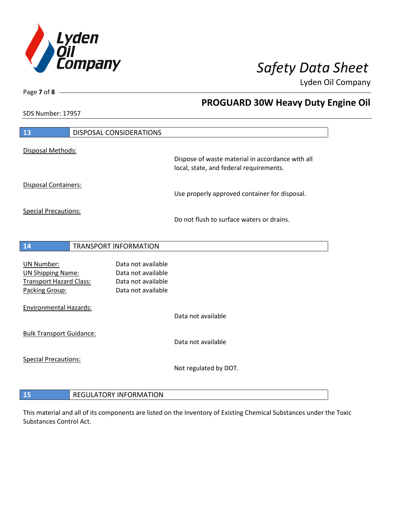

**PROGUARD 30W Heavy Duty Engine Oil**

Lyden Oil Company

SDS Number: 17957

Page **7** of **8**

| 13                                                                                         | DISPOSAL CONSIDERATIONS                                                              |                                                                                             |
|--------------------------------------------------------------------------------------------|--------------------------------------------------------------------------------------|---------------------------------------------------------------------------------------------|
| Disposal Methods:                                                                          |                                                                                      |                                                                                             |
|                                                                                            |                                                                                      | Dispose of waste material in accordance with all<br>local, state, and federal requirements. |
| Disposal Containers:                                                                       |                                                                                      | Use properly approved container for disposal.                                               |
| <b>Special Precautions:</b>                                                                |                                                                                      | Do not flush to surface waters or drains.                                                   |
| 14                                                                                         | <b>TRANSPORT INFORMATION</b>                                                         |                                                                                             |
| UN Number:<br><b>UN Shipping Name:</b><br><b>Transport Hazard Class:</b><br>Packing Group: | Data not available<br>Data not available<br>Data not available<br>Data not available |                                                                                             |
| <b>Environmental Hazards:</b>                                                              |                                                                                      | Data not available                                                                          |
| <b>Bulk Transport Guidance:</b>                                                            |                                                                                      | Data not available                                                                          |
| <b>Special Precautions:</b>                                                                |                                                                                      | Not regulated by DOT.                                                                       |
| 15                                                                                         | <b>REGULATORY INFORMATION</b>                                                        |                                                                                             |

This material and all of its components are listed on the Inventory of Existing Chemical Substances under the Toxic Substances Control Act.